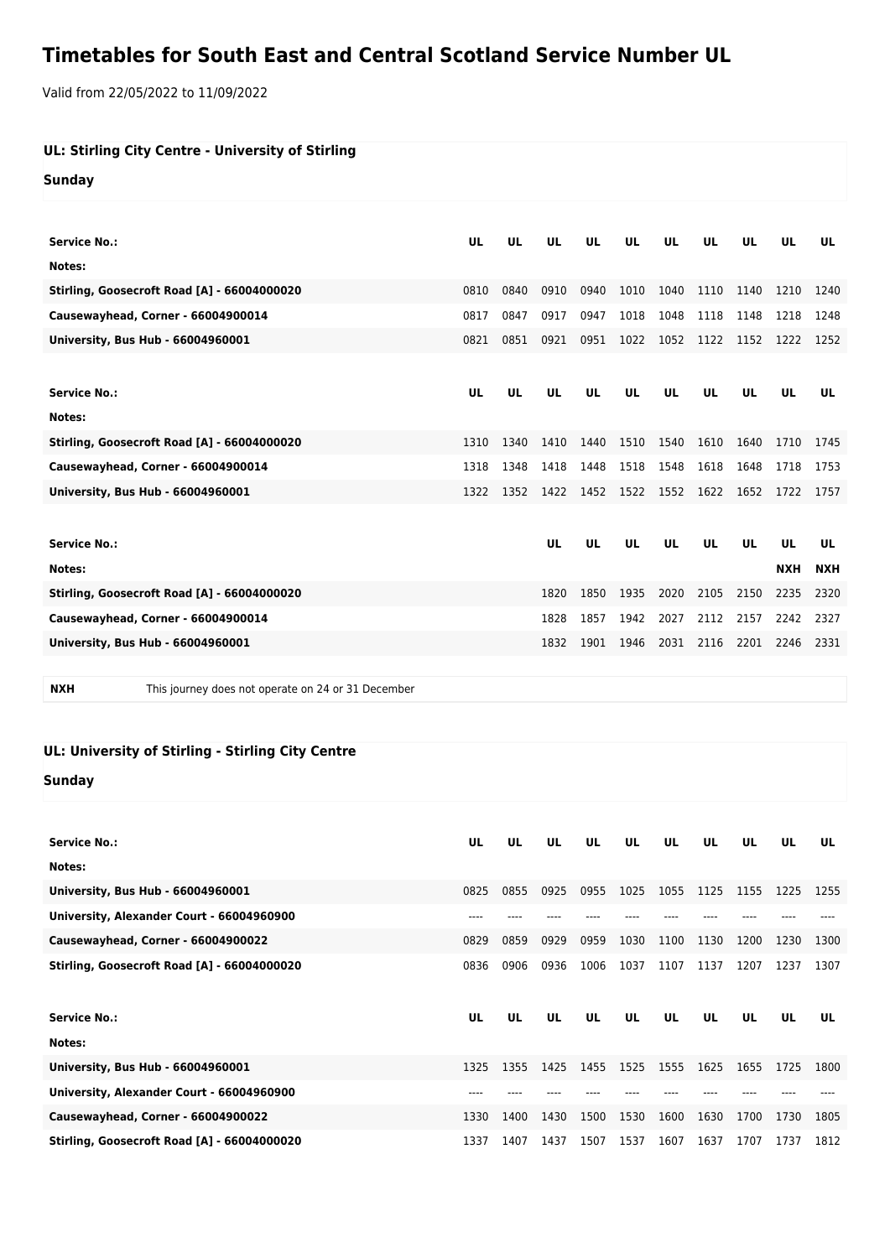## **Timetables for South East and Central Scotland Service Number UL**

Valid from 22/05/2022 to 11/09/2022

| UL: Stirling City Centre - University of Stirling |  |
|---------------------------------------------------|--|
| Sunday                                            |  |

| <b>Service No.:</b>                         | UL   | <b>UL</b> | UL   | UL        | UL   | UL        | UL        | UL        | UL         | UL         |
|---------------------------------------------|------|-----------|------|-----------|------|-----------|-----------|-----------|------------|------------|
| Notes:                                      |      |           |      |           |      |           |           |           |            |            |
| Stirling, Goosecroft Road [A] - 66004000020 | 0810 | 0840      | 0910 | 0940      | 1010 | 1040      | 1110      | 1140      | 1210       | 1240       |
| Causewayhead, Corner - 66004900014          | 0817 | 0847      | 0917 | 0947      | 1018 | 1048      | 1118      | 1148      | 1218       | 1248       |
| University, Bus Hub - 66004960001           | 0821 | 0851      | 0921 | 0951      | 1022 | 1052      | 1122      | 1152      | 1222       | 1252       |
|                                             |      |           |      |           |      |           |           |           |            |            |
| <b>Service No.:</b>                         | UL   | UL        | UL   | UL        | UL   | UL        | UL        | UL        | UL         | UL         |
| Notes:                                      |      |           |      |           |      |           |           |           |            |            |
| Stirling, Goosecroft Road [A] - 66004000020 | 1310 | 1340      | 1410 | 1440      | 1510 | 1540      | 1610      | 1640      | 1710       | 1745       |
| Causewayhead, Corner - 66004900014          | 1318 | 1348      | 1418 | 1448      | 1518 | 1548      | 1618      | 1648      | 1718       | 1753       |
| University, Bus Hub - 66004960001           | 1322 | 1352      | 1422 | 1452      |      | 1522 1552 | 1622      | 1652 1722 |            | 1757       |
|                                             |      |           |      |           |      |           |           |           |            |            |
| <b>Service No.:</b>                         |      |           | UL   | <b>UL</b> | UL   | UL        | <b>UL</b> | <b>UL</b> | UL         | UL         |
| Notes:                                      |      |           |      |           |      |           |           |           | <b>NXH</b> | <b>NXH</b> |
| Stirling, Goosecroft Road [A] - 66004000020 |      |           | 1820 | 1850      | 1935 | 2020      | 2105      | 2150      | 2235       | 2320       |
| Causewayhead, Corner - 66004900014          |      |           | 1828 | 1857      | 1942 | 2027      | 2112      | 2157      | 2242       | 2327       |
| University, Bus Hub - 66004960001           |      |           | 1832 | 1901      | 1946 | 2031      | 2116      | 2201      | 2246       | 2331       |
|                                             |      |           |      |           |      |           |           |           |            |            |

**NXH** This journey does not operate on 24 or 31 December

## **UL: University of Stirling - Stirling City Centre**

**Sunday**

| <b>Service No.:</b>                         | UL   | UL        | UL   | UL   | UL   | UL   | UL   | UL   | UL   | UL   |
|---------------------------------------------|------|-----------|------|------|------|------|------|------|------|------|
| Notes:                                      |      |           |      |      |      |      |      |      |      |      |
| University, Bus Hub - 66004960001           | 0825 | 0855      | 0925 | 0955 | 1025 | 1055 | 1125 | 1155 | 1225 | 1255 |
| University, Alexander Court - 66004960900   |      |           |      |      |      |      |      |      |      |      |
| Causewayhead, Corner - 66004900022          | 0829 | 0859      | 0929 | 0959 | 1030 | 1100 | 1130 | 1200 | 1230 | 1300 |
| Stirling, Goosecroft Road [A] - 66004000020 | 0836 | 0906      | 0936 | 1006 | 1037 | 1107 | 1137 | 1207 | 1237 | 1307 |
|                                             |      |           |      |      |      |      |      |      |      |      |
|                                             |      |           |      |      |      |      |      |      |      |      |
| <b>Service No.:</b>                         | UL   | <b>UL</b> | UL   | UL   | UL   | UL   | UL   | UL   | UL   | UL   |
| Notes:                                      |      |           |      |      |      |      |      |      |      |      |
| University, Bus Hub - 66004960001           | 1325 | 1355      | 1425 | 1455 | 1525 | 1555 | 1625 | 1655 | 1725 | 1800 |
| University, Alexander Court - 66004960900   |      |           |      |      |      |      |      |      |      |      |
| Causewayhead, Corner - 66004900022          | 1330 | 1400      | 1430 | 1500 | 1530 | 1600 | 1630 | 1700 | 1730 | 1805 |